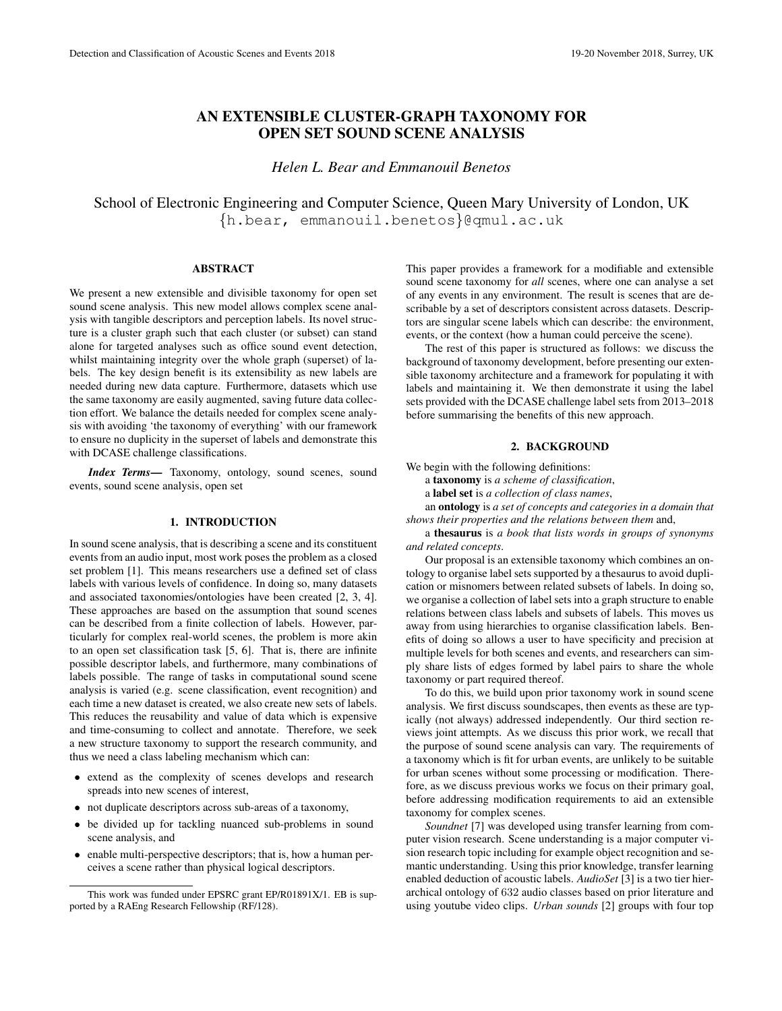# AN EXTENSIBLE CLUSTER-GRAPH TAXONOMY FOR OPEN SET SOUND SCENE ANALYSIS

*Helen L. Bear and Emmanouil Benetos*

School of Electronic Engineering and Computer Science, Queen Mary University of London, UK {h.bear, emmanouil.benetos}@qmul.ac.uk

#### ABSTRACT

We present a new extensible and divisible taxonomy for open set sound scene analysis. This new model allows complex scene analysis with tangible descriptors and perception labels. Its novel structure is a cluster graph such that each cluster (or subset) can stand alone for targeted analyses such as office sound event detection, whilst maintaining integrity over the whole graph (superset) of labels. The key design benefit is its extensibility as new labels are needed during new data capture. Furthermore, datasets which use the same taxonomy are easily augmented, saving future data collection effort. We balance the details needed for complex scene analysis with avoiding 'the taxonomy of everything' with our framework to ensure no duplicity in the superset of labels and demonstrate this with DCASE challenge classifications.

*Index Terms*— Taxonomy, ontology, sound scenes, sound events, sound scene analysis, open set

## 1. INTRODUCTION

In sound scene analysis, that is describing a scene and its constituent events from an audio input, most work poses the problem as a closed set problem [1]. This means researchers use a defined set of class labels with various levels of confidence. In doing so, many datasets and associated taxonomies/ontologies have been created [2, 3, 4]. These approaches are based on the assumption that sound scenes can be described from a finite collection of labels. However, particularly for complex real-world scenes, the problem is more akin to an open set classification task [5, 6]. That is, there are infinite possible descriptor labels, and furthermore, many combinations of labels possible. The range of tasks in computational sound scene analysis is varied (e.g. scene classification, event recognition) and each time a new dataset is created, we also create new sets of labels. This reduces the reusability and value of data which is expensive and time-consuming to collect and annotate. Therefore, we seek a new structure taxonomy to support the research community, and thus we need a class labeling mechanism which can:

- extend as the complexity of scenes develops and research spreads into new scenes of interest,
- not duplicate descriptors across sub-areas of a taxonomy,
- be divided up for tackling nuanced sub-problems in sound scene analysis, and
- enable multi-perspective descriptors; that is, how a human perceives a scene rather than physical logical descriptors.

This paper provides a framework for a modifiable and extensible sound scene taxonomy for *all* scenes, where one can analyse a set of any events in any environment. The result is scenes that are describable by a set of descriptors consistent across datasets. Descriptors are singular scene labels which can describe: the environment, events, or the context (how a human could perceive the scene).

The rest of this paper is structured as follows: we discuss the background of taxonomy development, before presenting our extensible taxonomy architecture and a framework for populating it with labels and maintaining it. We then demonstrate it using the label sets provided with the DCASE challenge label sets from 2013–2018 before summarising the benefits of this new approach.

#### 2. BACKGROUND

We begin with the following definitions:

a taxonomy is *a scheme of classification*,

a label set is *a collection of class names*,

an ontology is *a set of concepts and categories in a domain that shows their properties and the relations between them* and,

a thesaurus is *a book that lists words in groups of synonyms and related concepts*.

Our proposal is an extensible taxonomy which combines an ontology to organise label sets supported by a thesaurus to avoid duplication or misnomers between related subsets of labels. In doing so, we organise a collection of label sets into a graph structure to enable relations between class labels and subsets of labels. This moves us away from using hierarchies to organise classification labels. Benefits of doing so allows a user to have specificity and precision at multiple levels for both scenes and events, and researchers can simply share lists of edges formed by label pairs to share the whole taxonomy or part required thereof.

To do this, we build upon prior taxonomy work in sound scene analysis. We first discuss soundscapes, then events as these are typically (not always) addressed independently. Our third section reviews joint attempts. As we discuss this prior work, we recall that the purpose of sound scene analysis can vary. The requirements of a taxonomy which is fit for urban events, are unlikely to be suitable for urban scenes without some processing or modification. Therefore, as we discuss previous works we focus on their primary goal, before addressing modification requirements to aid an extensible taxonomy for complex scenes.

*Soundnet* [7] was developed using transfer learning from computer vision research. Scene understanding is a major computer vision research topic including for example object recognition and semantic understanding. Using this prior knowledge, transfer learning enabled deduction of acoustic labels. *AudioSet* [3] is a two tier hierarchical ontology of 632 audio classes based on prior literature and using youtube video clips. *Urban sounds* [2] groups with four top

This work was funded under EPSRC grant EP/R01891X/1. EB is supported by a RAEng Research Fellowship (RF/128).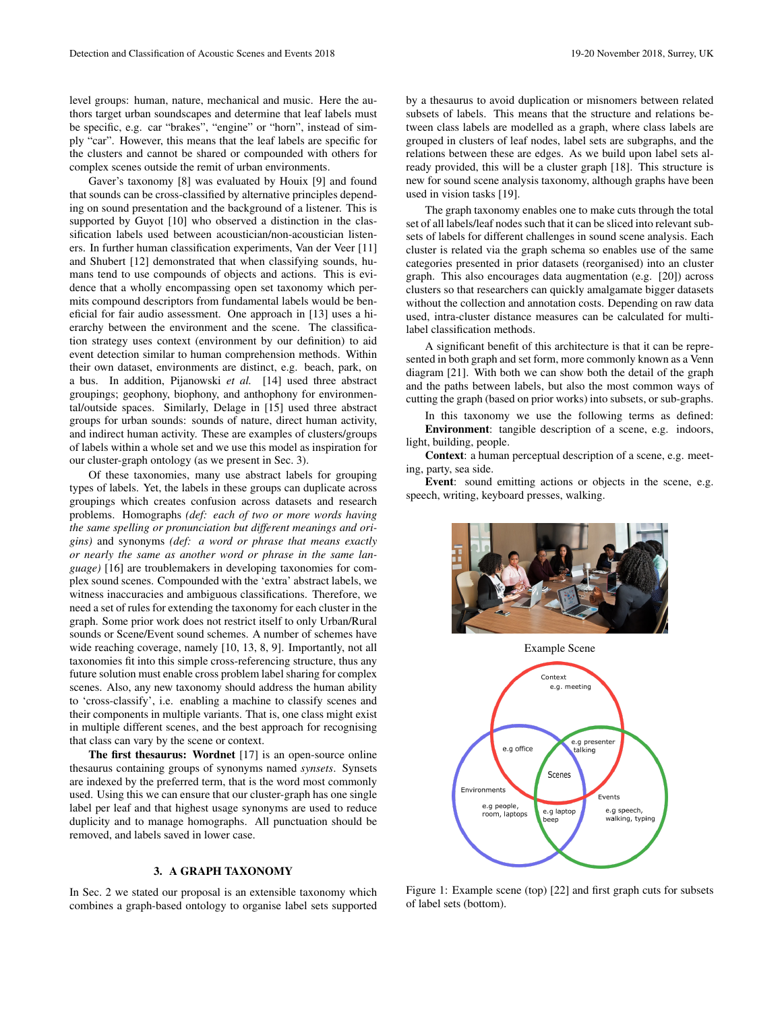level groups: human, nature, mechanical and music. Here the authors target urban soundscapes and determine that leaf labels must be specific, e.g. car "brakes", "engine" or "horn", instead of simply "car". However, this means that the leaf labels are specific for the clusters and cannot be shared or compounded with others for complex scenes outside the remit of urban environments.

Gaver's taxonomy [8] was evaluated by Houix [9] and found that sounds can be cross-classified by alternative principles depending on sound presentation and the background of a listener. This is supported by Guyot [10] who observed a distinction in the classification labels used between acoustician/non-acoustician listeners. In further human classification experiments, Van der Veer [11] and Shubert [12] demonstrated that when classifying sounds, humans tend to use compounds of objects and actions. This is evidence that a wholly encompassing open set taxonomy which permits compound descriptors from fundamental labels would be beneficial for fair audio assessment. One approach in [13] uses a hierarchy between the environment and the scene. The classification strategy uses context (environment by our definition) to aid event detection similar to human comprehension methods. Within their own dataset, environments are distinct, e.g. beach, park, on a bus. In addition, Pijanowski *et al.* [14] used three abstract groupings; geophony, biophony, and anthophony for environmental/outside spaces. Similarly, Delage in [15] used three abstract groups for urban sounds: sounds of nature, direct human activity, and indirect human activity. These are examples of clusters/groups of labels within a whole set and we use this model as inspiration for our cluster-graph ontology (as we present in Sec. 3).

Of these taxonomies, many use abstract labels for grouping types of labels. Yet, the labels in these groups can duplicate across groupings which creates confusion across datasets and research problems. Homographs *(def: each of two or more words having the same spelling or pronunciation but different meanings and origins)* and synonyms *(def: a word or phrase that means exactly or nearly the same as another word or phrase in the same language)* [16] are troublemakers in developing taxonomies for complex sound scenes. Compounded with the 'extra' abstract labels, we witness inaccuracies and ambiguous classifications. Therefore, we need a set of rules for extending the taxonomy for each cluster in the graph. Some prior work does not restrict itself to only Urban/Rural sounds or Scene/Event sound schemes. A number of schemes have wide reaching coverage, namely [10, 13, 8, 9]. Importantly, not all taxonomies fit into this simple cross-referencing structure, thus any future solution must enable cross problem label sharing for complex scenes. Also, any new taxonomy should address the human ability to 'cross-classify', i.e. enabling a machine to classify scenes and their components in multiple variants. That is, one class might exist in multiple different scenes, and the best approach for recognising that class can vary by the scene or context.

The first thesaurus: Wordnet [17] is an open-source online thesaurus containing groups of synonyms named *synsets*. Synsets are indexed by the preferred term, that is the word most commonly used. Using this we can ensure that our cluster-graph has one single label per leaf and that highest usage synonyms are used to reduce duplicity and to manage homographs. All punctuation should be removed, and labels saved in lower case.

# 3. A GRAPH TAXONOMY

In Sec. 2 we stated our proposal is an extensible taxonomy which combines a graph-based ontology to organise label sets supported

by a thesaurus to avoid duplication or misnomers between related subsets of labels. This means that the structure and relations between class labels are modelled as a graph, where class labels are grouped in clusters of leaf nodes, label sets are subgraphs, and the relations between these are edges. As we build upon label sets already provided, this will be a cluster graph [18]. This structure is new for sound scene analysis taxonomy, although graphs have been used in vision tasks [19].

The graph taxonomy enables one to make cuts through the total set of all labels/leaf nodes such that it can be sliced into relevant subsets of labels for different challenges in sound scene analysis. Each cluster is related via the graph schema so enables use of the same categories presented in prior datasets (reorganised) into an cluster graph. This also encourages data augmentation (e.g. [20]) across clusters so that researchers can quickly amalgamate bigger datasets without the collection and annotation costs. Depending on raw data used, intra-cluster distance measures can be calculated for multilabel classification methods.

A significant benefit of this architecture is that it can be represented in both graph and set form, more commonly known as a Venn diagram [21]. With both we can show both the detail of the graph and the paths between labels, but also the most common ways of cutting the graph (based on prior works) into subsets, or sub-graphs.

In this taxonomy we use the following terms as defined: Environment: tangible description of a scene, e.g. indoors, light, building, people.

Context: a human perceptual description of a scene, e.g. meeting, party, sea side.

Event: sound emitting actions or objects in the scene, e.g. speech, writing, keyboard presses, walking.





Figure 1: Example scene (top) [22] and first graph cuts for subsets of label sets (bottom).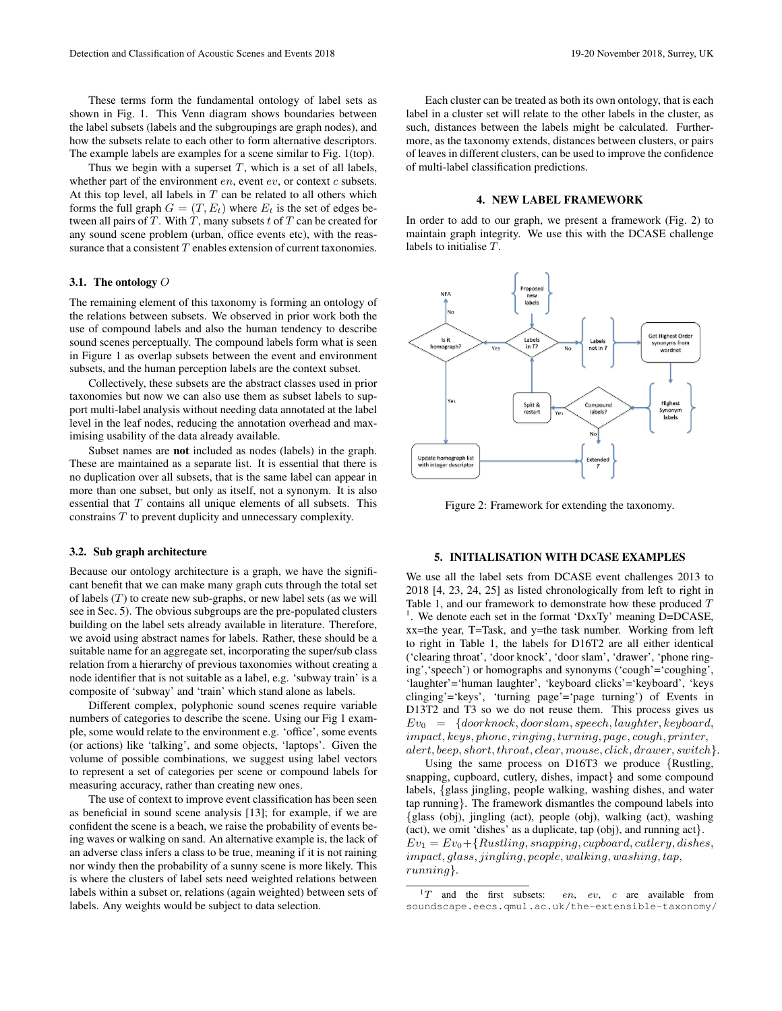These terms form the fundamental ontology of label sets as shown in Fig. 1. This Venn diagram shows boundaries between the label subsets (labels and the subgroupings are graph nodes), and how the subsets relate to each other to form alternative descriptors. The example labels are examples for a scene similar to Fig. 1(top).

Thus we begin with a superset  $T$ , which is a set of all labels, whether part of the environment  $en$ , event  $ev$ , or context  $c$  subsets. At this top level, all labels in  $T$  can be related to all others which forms the full graph  $G = (T, E_t)$  where  $E_t$  is the set of edges between all pairs of  $T$ . With  $T$ , many subsets  $t$  of  $T$  can be created for any sound scene problem (urban, office events etc), with the reassurance that a consistent  $T$  enables extension of current taxonomies.

## 3.1. The ontology O

The remaining element of this taxonomy is forming an ontology of the relations between subsets. We observed in prior work both the use of compound labels and also the human tendency to describe sound scenes perceptually. The compound labels form what is seen in Figure 1 as overlap subsets between the event and environment subsets, and the human perception labels are the context subset.

Collectively, these subsets are the abstract classes used in prior taxonomies but now we can also use them as subset labels to support multi-label analysis without needing data annotated at the label level in the leaf nodes, reducing the annotation overhead and maximising usability of the data already available.

Subset names are not included as nodes (labels) in the graph. These are maintained as a separate list. It is essential that there is no duplication over all subsets, that is the same label can appear in more than one subset, but only as itself, not a synonym. It is also essential that T contains all unique elements of all subsets. This constrains T to prevent duplicity and unnecessary complexity.

### 3.2. Sub graph architecture

Because our ontology architecture is a graph, we have the significant benefit that we can make many graph cuts through the total set of labels  $(T)$  to create new sub-graphs, or new label sets (as we will see in Sec. 5). The obvious subgroups are the pre-populated clusters building on the label sets already available in literature. Therefore, we avoid using abstract names for labels. Rather, these should be a suitable name for an aggregate set, incorporating the super/sub class relation from a hierarchy of previous taxonomies without creating a node identifier that is not suitable as a label, e.g. 'subway train' is a composite of 'subway' and 'train' which stand alone as labels.

Different complex, polyphonic sound scenes require variable numbers of categories to describe the scene. Using our Fig 1 example, some would relate to the environment e.g. 'office', some events (or actions) like 'talking', and some objects, 'laptops'. Given the volume of possible combinations, we suggest using label vectors to represent a set of categories per scene or compound labels for measuring accuracy, rather than creating new ones.

The use of context to improve event classification has been seen as beneficial in sound scene analysis [13]; for example, if we are confident the scene is a beach, we raise the probability of events being waves or walking on sand. An alternative example is, the lack of an adverse class infers a class to be true, meaning if it is not raining nor windy then the probability of a sunny scene is more likely. This is where the clusters of label sets need weighted relations between labels within a subset or, relations (again weighted) between sets of labels. Any weights would be subject to data selection.

Each cluster can be treated as both its own ontology, that is each label in a cluster set will relate to the other labels in the cluster, as such, distances between the labels might be calculated. Furthermore, as the taxonomy extends, distances between clusters, or pairs of leaves in different clusters, can be used to improve the confidence of multi-label classification predictions.

## 4. NEW LABEL FRAMEWORK

In order to add to our graph, we present a framework (Fig. 2) to maintain graph integrity. We use this with the DCASE challenge labels to initialise T.



Figure 2: Framework for extending the taxonomy.

# 5. INITIALISATION WITH DCASE EXAMPLES

We use all the label sets from DCASE event challenges 2013 to 2018 [4, 23, 24, 25] as listed chronologically from left to right in Table 1, and our framework to demonstrate how these produced  $T$ <sup>1</sup>. We denote each set in the format 'DxxTy' meaning D=DCASE, xx=the year, T=Task, and y=the task number. Working from left to right in Table 1, the labels for D16T2 are all either identical ('clearing throat', 'door knock', 'door slam', 'drawer', 'phone ringing','speech') or homographs and synonyms ('cough'='coughing', 'laughter'='human laughter', 'keyboard clicks'='keyboard', 'keys clinging'='keys', 'turning page'='page turning') of Events in D13T2 and T3 so we do not reuse them. This process gives us  $Ev_0 = \{doorknock, doorslam, speech, lawyer, keyboard,$ impact, keys, phone, ringing, turning, page, cough, printer, alert, beep, short, throat, clear, mouse, click, drawer, switch}.

Using the same process on D16T3 we produce {Rustling, snapping, cupboard, cutlery, dishes, impact} and some compound labels, {glass jingling, people walking, washing dishes, and water tap running}. The framework dismantles the compound labels into {glass (obj), jingling (act), people (obj), walking (act), washing (act), we omit 'dishes' as a duplicate, tap (obj), and running act}.  $Ev_1 = Ev_0 + \{Rustling, snapping, cupboard, cutlery, dishes,$ impact, glass, jingling, people, walking, washing, tap, running}.

 $1T$  and the first subsets: en, ev, c are available from soundscape.eecs.qmul.ac.uk/the-extensible-taxonomy/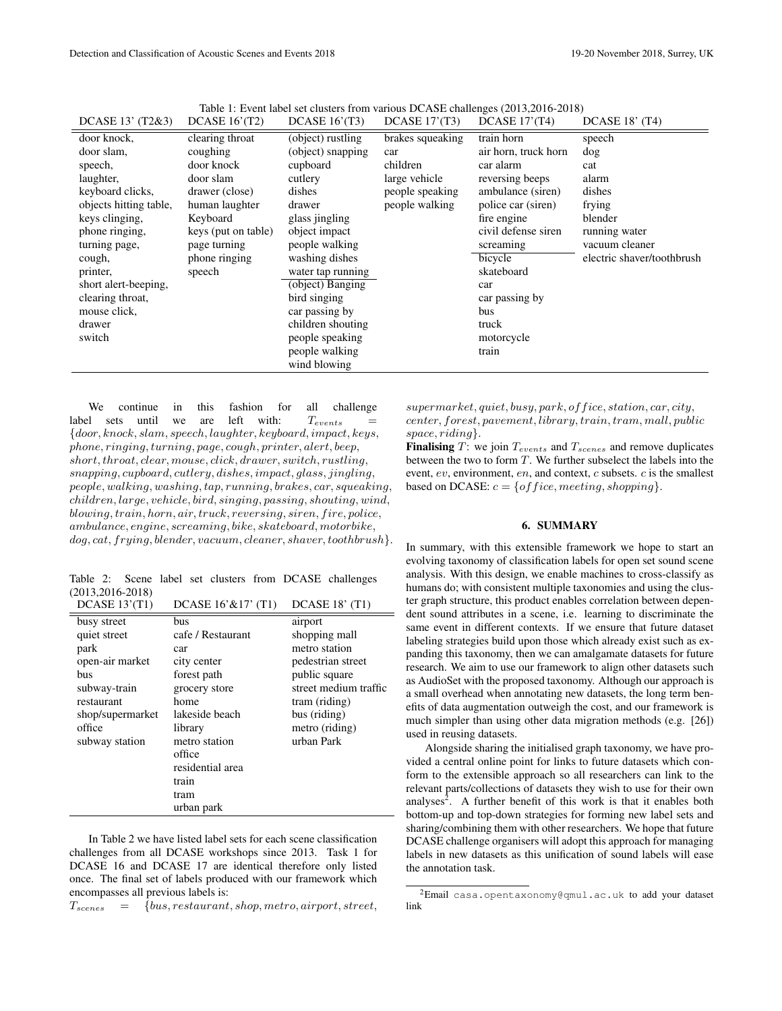| DCASE 13' (T2&3)       | DCASE $16'(T2)$     | DCASE $16'(T3)$   | DCASE $17'(T3)$  | DCASE $17'(T4)$      | DCASE 18' (T4)             |
|------------------------|---------------------|-------------------|------------------|----------------------|----------------------------|
| door knock,            | clearing throat     | (object) rustling | brakes squeaking | train horn           | speech                     |
| door slam,             | coughing            | (object) snapping | car              | air horn, truck horn | dog                        |
| speech,                | door knock          | cupboard          | children         | car alarm            | cat                        |
| laughter,              | door slam           | cutlery           | large vehicle    | reversing beeps      | alarm                      |
| keyboard clicks,       | drawer (close)      | dishes            | people speaking  | ambulance (siren)    | dishes                     |
| objects hitting table, | human laughter      | drawer            | people walking   | police car (siren)   | frying                     |
| keys clinging,         | Keyboard            | glass jingling    |                  | fire engine          | blender                    |
| phone ringing,         | keys (put on table) | object impact     |                  | civil defense siren  | running water              |
| turning page,          | page turning        | people walking    |                  | screaming            | vacuum cleaner             |
| cough,                 | phone ringing       | washing dishes    |                  | bicycle              | electric shaver/toothbrush |
| printer,               | speech              | water tap running |                  | skateboard           |                            |
| short alert-beeping,   |                     | (object) Banging  |                  | car                  |                            |
| clearing throat,       |                     | bird singing      |                  | car passing by       |                            |
| mouse click,           |                     | car passing by    |                  | bus                  |                            |
| drawer                 |                     | children shouting |                  | truck                |                            |
| switch                 |                     | people speaking   |                  | motorcycle           |                            |
|                        |                     | people walking    |                  | train                |                            |
|                        |                     | wind blowing      |                  |                      |                            |

Table 1: Event label set clusters from various DCASE challenges (2013,2016-2018)

We continue in this fashion for all challenge label sets until we are left with:  $T_{events}$ {door, knock, slam, speech, laughter, keyboard, impact, keys, phone, ringing, turning, page, cough, printer, alert, beep, short, throat, clear, mouse, click, drawer, switch, rustling, snapping, cupboard, cutlery, dishes, impact, glass, jingling, people, walking, washing, tap, running, brakes, car, squeaking, children, large, vehicle, bird, singing, passing, shouting, wind,  $blowing, train, horn, air, truck, reversing, siren, fire, police,$ ambulance, engine, screaming, bike, skateboard, motorbike, dog, cat, frying, blender, vacuum, cleaner, shaver, toothbrush}.

Table 2: Scene label set clusters from DCASE challenges  $(2013,2016-2018)$ DCASE 13'(T1) DCASE 16'&17' (T1) DCASE 18' (T1)

| DCASE 13 (11)    | $DCASE 10 \& 1111$ | DCASE 18 (11)         |  |
|------------------|--------------------|-----------------------|--|
| busy street      | bus                | airport               |  |
| quiet street     | cafe / Restaurant  | shopping mall         |  |
| park             | car                | metro station         |  |
| open-air market  | city center        | pedestrian street     |  |
| bus              | forest path        | public square         |  |
| subway-train     | grocery store      | street medium traffic |  |
| restaurant       | home               | tram (riding)         |  |
| shop/supermarket | lakeside beach     | bus (riding)          |  |
| office           | library            | metro (riding)        |  |
| subway station   | metro station      | urban Park            |  |
|                  | office             |                       |  |
|                  | residential area   |                       |  |
|                  | train              |                       |  |
|                  | tram               |                       |  |
|                  | urban park         |                       |  |

In Table 2 we have listed label sets for each scene classification challenges from all DCASE workshops since 2013. Task 1 for DCASE 16 and DCASE 17 are identical therefore only listed once. The final set of labels produced with our framework which encompasses all previous labels is:

 $T_{scenes}$  = {bus, restaurant, shop, metro, airport, street,

 $supermarket, quiet, busy, park, of fice, station, car, city,$ center, forest, pavement, library, train, tram, mall, public space, riding.

**Finalising** T: we join  $T_{events}$  and  $T_{seenes}$  and remove duplicates between the two to form T. We further subselect the labels into the event, ev, environment, en, and context, c subsets. c is the smallest based on DCASE:  $c = \{ of face, meeting, shopping\}.$ 

## 6. SUMMARY

In summary, with this extensible framework we hope to start an evolving taxonomy of classification labels for open set sound scene analysis. With this design, we enable machines to cross-classify as humans do; with consistent multiple taxonomies and using the cluster graph structure, this product enables correlation between dependent sound attributes in a scene, i.e. learning to discriminate the same event in different contexts. If we ensure that future dataset labeling strategies build upon those which already exist such as expanding this taxonomy, then we can amalgamate datasets for future research. We aim to use our framework to align other datasets such as AudioSet with the proposed taxonomy. Although our approach is a small overhead when annotating new datasets, the long term benefits of data augmentation outweigh the cost, and our framework is much simpler than using other data migration methods (e.g. [26]) used in reusing datasets.

Alongside sharing the initialised graph taxonomy, we have provided a central online point for links to future datasets which conform to the extensible approach so all researchers can link to the relevant parts/collections of datasets they wish to use for their own analyses<sup>2</sup>. A further benefit of this work is that it enables both bottom-up and top-down strategies for forming new label sets and sharing/combining them with other researchers. We hope that future DCASE challenge organisers will adopt this approach for managing labels in new datasets as this unification of sound labels will ease the annotation task.

<sup>2</sup>Email casa.opentaxonomy@qmul.ac.uk to add your dataset link